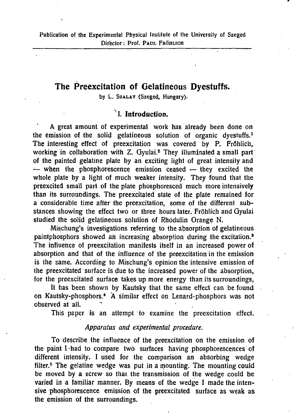# **The Preexcitation of Gelatineous Dyestuffs.**

by L. Sza**Lav** (Szeged, Hungary).

## **v I. Introduction.**

A great amount of experimental work has already been done on the emission of the solid gelatineous solution of organic dyestuffs.<sup>1</sup> The interesting effect of preexcitation was covered by P. Fröhlich, working in collaboration with Z. Gyulai.<sup>2</sup> They illuminated a small part of the painted gelatine plate by an exciting light of great intensity and — when the phosphorescence emission ceased — they excited the whole plate by a light of much weaker intensity. They found that the preexcited small part of the plate phosphoresced much more intensively than its surroundings. The preexcitated state of the plate remained for a considerable time after the preexcitation, some of the different substances showing the effect two or three hours later. Fröhlich and Gyulai studied the solid gelatineous solution of Rhodulin Orange N.

Mischung's investigations referring to the absorption of gelatineous paintphosphors showed an increasing absorption during the excitation.<sup>5</sup> The influence of preexcitation manifests itself in an increased power of absorption and that of the influence of the preexcitation in the emission is the same. According to Mischung's opinion the intensive emission of the preexcitated surface is due to the increased power of the absorption, for the preexcitated surface takes up more energy than its surroundings,

It has been shown by Kautsky that the same effect can be found on Kautsky-phosphors.<sup>4</sup> A similar effect on Lenard-phosphors was not observed at all.

This paper is an attempt to examine the preexcitation effect.

### *Apparatus and experimental procedure.*

To describe the influence of the preexcitation on the emission of the paint I-had to compare two surfaces having phosphorescences of different intensity. I used for the comparison an absorbing wedge filter.<sup>5</sup> The gelatine wedge was put in a mounting. The mounting could be moved by a screw so that the transmission of the wedge could be varied in a familiar manner. By means of the wedge I made the intensive phosphorescence emission of the preexcitated surface as weak as the emission of the surroundings.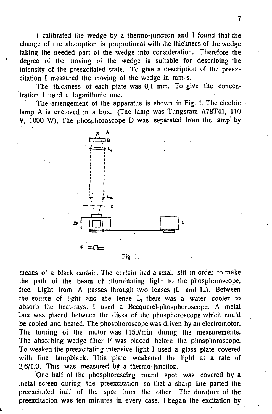I calibrated the wedge by a thermo-junclion and 1 found that the change of the absorption is proportional with the thickness of the wedge taking the needed part of the wedge into consideration. Therefore the degree of the moving of the wedge is suitable for describing the intensity of the preexcitated state. To give a description of the preexcitation I measured the moving of the wedge in mm-s.

The thickness of each plate was 0,1 mm. To give the concentration I used a logarithmic one.

The arrengement of the apparatus is shown in Fig. 1. The electric lamp A is enclosed in a box. (The lamp was Tungsram A78T41, 110 V, 1000 W), The phosphoroscope D was separated from the lamp' by



**Fig. 1.** 

means of a black curtain. The curtain had a small slit in order to make the path of the beam of illuminating light to the phosphoroscope, free. Light from A passes through two lenses  $(L_1 \text{ and } L_2)$ . Between the source of light and the lense  $L_1$  there was a water cooler to absorb the heat-rays. I used a Becquerel-phosphoroscope. A metal box was placed between the disks of the phosphoroscope which could be cooled and heated. The phosphoroscope was driven by an electromotor. The turning of the motor was 1150/min during the measurements. The absorbing wedge filter F was placed before the phosphoroscope. To weaken the preexcitating intensive light I used a glass plate covered with fine lampblack. This plate weakened the light at a rate of 2,6/1,0. This was measured by a thermo-junction.

One half of the phosphorescing round spot was covered by a metal screen during the preexcitation so that a sharp line parted the preexcitated half of the spot from the other. The duration of the preexcitacion was ten minutes in every case. 1 began the excitation by

 $\left($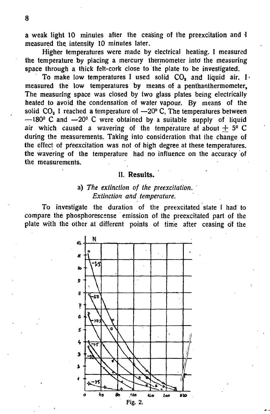a weak light 10 minutes after the ceasing of the preexcitation and I measured the intensity 10 minutes later.

Higher temperatures were made by electrical heating. I measured the temperature by placing a mercury thermometer into the measuring space through a thick felt-cork close to the plate to be investigated.

To make low temperatures I used solid  $CO<sub>s</sub>$  and liquid air. I. measured the low temperatures by means of a penthanthermometer, The measuring space was closed by two glass plates being electrically heated to avoid the condensation of water vapour. By means of the solid  $CO<sub>a</sub>$  I reached a temperature of  $-20^{\circ}$  C, The temperatures between  $-180^\circ$  C and  $-20^\circ$  C were obtained by a suitable supply of liquid air which caused a wavering of the temperature af about  $+5^{\circ}$  C during the measurements. Taking into consideration that the change of the effect of preexcitation was not of high degree at these temperatures, the wavering of the temperature had no influence on the accuracy of the measurements.

## **II. Results.**

## a) *The extinction of the preexcitation. Extinction and temperature.*

To investigate the duration of the preexcitated state I had to compare the phosphorescense emission of the preexcitated part of the plate with the other at different points of time after ceasing of the

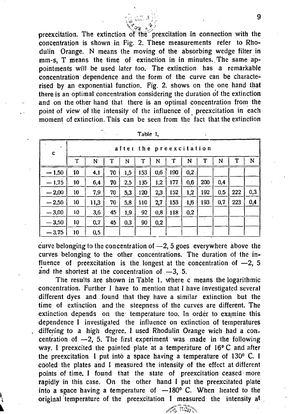preexcitation. The extinction of the prexcitation in connection with the concentration is shown in Fig. 2. These measurements refer to Rhodulin Orange. N means the moving of the absorbing wedge filter in mm-s, T means the time of extinction in in minutes. The same appointments will be used later too. The extinction has a remarkable concentration dependence and the form of the curve can be characterised by an exponential function. Fig. 2. shows on the one hand that there is an optimal concentration considering the duration of the extinction and on the other hand that there is an optimal concentration from the point of view of the intensity of the influence of preexcitation in each moment of extinction. This can be seen from the fact that the extinction

 $\epsilon$  is explicit that

| $\mathbf c$ | after the preexcitation |      |    |     |     |     |     |      |             |     |     |     |
|-------------|-------------------------|------|----|-----|-----|-----|-----|------|-------------|-----|-----|-----|
|             | T                       | N    | T  | N   | т   | N   | т   | N    | $\mathbf T$ | N   | т   | N   |
| $-1,50$     | 10                      | 4,1  | 70 | 1,5 | 153 | 0,6 | 190 | 0,2. |             |     |     |     |
| $-1,75$     | 10                      | 6,4  | 70 | 2.5 | 135 | 1,2 | 177 | 0,6  | 200         | 0.4 |     |     |
| $-2,00$     | 10                      | 7.9  | 70 | 5,3 | 120 | 2,3 | 152 | 1,2  | 192         | 0.5 | 222 | 0,3 |
| $-2.50$     | 10                      | 11,3 | 70 | 5,8 | 110 | 2,7 | 153 | 1,6  | 193         | 0,7 | 223 | 0,4 |
| $-3,00$     | 10                      | 3,6  | 45 | 1,9 | 92  | 0,8 | 118 | 0,2  |             |     |     |     |
| $-3,50$     | 10                      | 0,7  | 45 | 0.3 | 90  | 0.2 |     |      |             |     |     |     |
| $-3,75$     | 10                      | 0,5  |    |     |     |     |     |      |             |     |     |     |

| `able |  |
|-------|--|
|-------|--|

curve belonging to the concentration of  $-2$ , 5 goes everywhere above the curves belonging to the other concentrations. The duration of the influence of preexcitation is the longest at the concentration of  $-2$ , 5 and the shortest at the concentration of  $-3$ , 5.

The results are shown in Table 1. where c means the logarithmic concentration. Further 1 have to mention that I have investigated several different dyes and found that they have a similar extinction but the time of extinction and the steepness of the curves are different. The extinction depends on the temperature too. In order to examine this dependence I investigated the influence on extinction of temperatures differing to a high degree. I used Rhodulin Orange wich had a concentration of  $-2$ , 5. The first experiment was made in the following way. I preexcited the painted plate at a temperature of 16°C and after the preexcitation I put into a space having a temperature of 130° C. I cooled the plates and I measured the intensity of the effect at different points of time. I found that the state of preexcitation ceased more rapidly in this case. On the other hand I put the preexcitated plate into a space having a temperature of  $-180^\circ$  C. When heated to the original temperature of the preexcitation I measured the intensity  $at$ 

 $TSD$ 

 $\sim$  9  $\sim$  9  $\sim$  9  $\sim$  9  $\sim$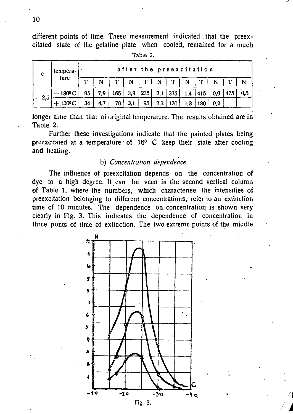different points of time. These measurement indicated that the preexcitated state of the gelatine plate when cooled, remained for a much **Table 2.** 

| -c     | tempera-<br>∙ture             | after the preexcitation |     |     |     |     |     |                  |     |           |     |     |  |
|--------|-------------------------------|-------------------------|-----|-----|-----|-----|-----|------------------|-----|-----------|-----|-----|--|
|        |                               | ጥ                       |     | т   | N   | T   | N   | T                | N   | T.        | 'N  | m.  |  |
| $-2,5$ | $-180^{\rm o}$ C <sup>+</sup> | 95                      | 7,9 | 165 | 3,9 | 235 | 2,1 | 335 <sup>1</sup> |     | $1,4$ 415 | 0,9 | 475 |  |
|        | $+130°C$                      | 34                      | 4.7 | 70  | 3.1 | 95  | 2.3 | 120.             | 1.3 | 180       | 0.2 |     |  |

longer time than that of original temperature. The results obtained are in

Further these investigations indicate that the painted plates being preexcitated at a temperature  $\cdot$  of  $16^{\circ}$  C keep their state after cooling and heating.

# b) *Concentration dependence.*

The influence of preexcitation depends on the concentration of dye to a high degree. It can be seen in the second vertical column of Table 1. where the numbers, which characterise the intensities of preexcitation belonging to different concentrations, refer to an extinction time of 10 minutes. The dependence on concentration is shown very clearly in Fig. 3. This indicates the dependence of concentration in three ponts of time of extinction. The two extreme points of the middle



**10** 

Table 2.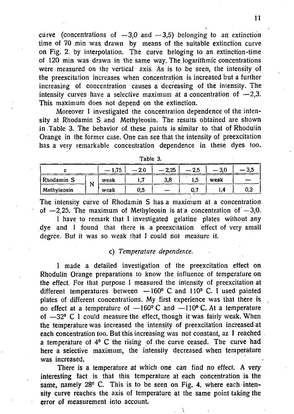curve (concentrations of  $-3.0$  and  $-3.5$ ) belonging to an extinction time of 70. min was drawn by means of the suitable extinction curve on Fig. 2. by interpolation. The curve beloging to an extinction-time of 120 min was drawn in the same way. The logarithmic concentrations were measured on the vertical axis. As is to be seen, the intensity of the preexcitation increases when concentration is increased but a further increasing of concentration causes a decreasing of the intensity. The intensity curves have a selective maximum at a concentration of  $-2,3$ . This maximum does not depend on the extinction.

Moreover I investigated the concentration dependence of the intensity at Rhodamin S and Methyleosin. The results obtained are shown in Table 3. The behavior of, these paints is similar to that of Rhodulin Orange in the former case. One can see that the intensity of preexcitation has a very remarkable concentration dependence in these dyes too.

|             | $-1.75$ |      | $-2.25$ | $-2.5$ | $-\,3.0$ | -- 3.5 |     |
|-------------|---------|------|---------|--------|----------|--------|-----|
| Rhodamin S  |         | weak |         | 3,8    | 1.5      | weak   |     |
| Methyleosin | 1 V     |      | 0,5     |        | 0.7      | ۰.,    | 0.2 |

**Tabie 3.** 

The intensity curve of Rhodamin S has a maximum at a concentration of  $-2.25$ . The maximum of Methyleosin is at a concentration of  $-3.0$ .

I have to remark that I investigated gelatine plates without any dye and 1 found that there is a preexcitation effect of very small degree. But it was so weak that I could not measure it.

#### c) *Temperature dependence.*

I made a detailed investigation of the preexcitation effect on Rhodulin Orange preparations to know the influence of temperature on the effect. For that purpose I measured the intensity of preexcitation at different temperatures between —160° C and 110° C. I used painted plates of different concentrations. My first experience was that there is no effect at a temperature of  $-160^{\circ}$  C and  $-110^{\circ}$  C. At a temperature of —32® C I could measure the effect, though it was fairly weak. When the temperature was increased the intensity of preexcitation increased at each concentration too. But this increasing was not constant, az I reached a temperature of  $4^{\circ}$  C the rising of the curve ceased. The curve had here a selective maximum, the intensity decreased when temperature was increased.

There is a temperature at which one can find no effect. A very interesting fact is that this temperature at each concentration is the same, namely 28° C. This is to be seen on Fig. 4. where each intensity curve reaches the axis of temperature at the same point taking the error of measurement into account.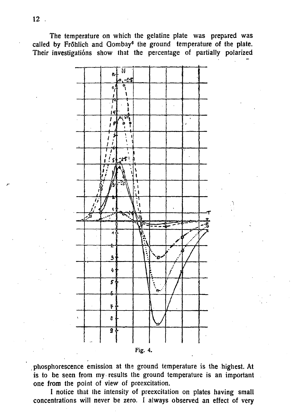The temperature on which the gelatine plate was prepared was called by Frfihlich and Gombay<sup>6</sup> the ground temperature of the plate. Their investigations show that the percentage of partially polarized



phosphorescence emission at the ground temperature is the highest. At is to be seen from my results the ground temperature is an important one from the point of view of preexcitation.

I notice that the intensity of preexcitation on plates having small concentrations will never be zero. I always observed an effect of very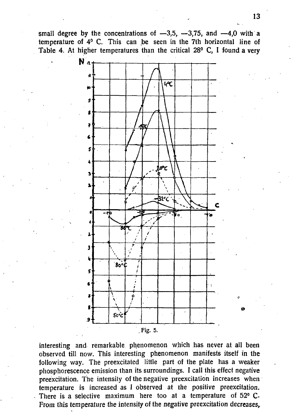small degree by the concentrations of  $-3.5$ ,  $-3.75$ , and  $-4.0$  with a temperature of  $4^{\circ}$  C. This can be seen in the 7th horizontal line of Table 4. At higher temperatures than the critical 28° C, I found a very



interesting and remarkable phenomenon which has never at all been observed till now. This interesting phenomenon manifests itself in the following way. The preexcitated little part of the plate has a weaker phosphorescence emission than its surroundings. I call this effect negative preexcitation. The intensity of the negative preexcitation increases when temperature is increased as I observed at the positive preexcitation. There is a selective maximum here too at a temperature of 52° C. From this temperature the intensity of the negative preexcitation decreases,

**13**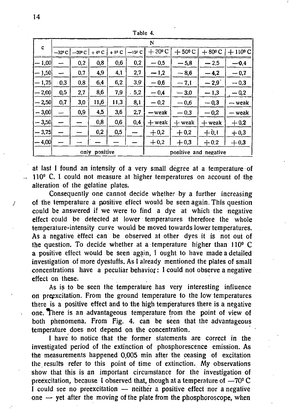| c       | N               |                 |          |        |          |                 |                       |                 |                  |  |  |
|---------|-----------------|-----------------|----------|--------|----------|-----------------|-----------------------|-----------------|------------------|--|--|
|         | $-32^{\circ}$ C | $-20^{\circ}$ C | $+40C$   | + 8° C | $-150$ C | $+30^{\circ}$ C | $+50^{\circ}$ C       | $+80^{\circ}$ C | $+110^{\circ}$ C |  |  |
| $-1,00$ |                 | 0,2             | 0,8      | 0,6    | 0,2      | $-0.5$          | $-5.8$                | $-2,5$          | $-0,4$           |  |  |
| $-1,50$ | -               | 0,7             | 4,9      | 4,1    | 2,7      | $-1,2$          | $-8,6$                | $-4,2$          | $-0.7$           |  |  |
| $-1,75$ | $\cdot$ 0,3     | 0,8             | 6,4      | 6,2    | 3,9      | $-0.6$          | $-7,1$                | $-2.9$          | $-0.3$           |  |  |
| $-2,00$ | 0,5             | 2,7             | 8.6      | 7,9    | .5,2     | $-0,4$          | $-3.0$                | $-1,3$          | $-0,2$           |  |  |
| $-2,50$ | 0,7             | 3,0             | 11,6     | 11,3   | 8,1      | $-0.2$          | $-0.6$                | $-0,3$          | — weak           |  |  |
| $-3,00$ | -               | 0,9             | 4,5      | 3,6    | 2,7      | — weak          | $-0.3$                | $-0,2$          | — weak           |  |  |
| $-3,50$ |                 |                 | 0,8      | 0,6    | 0,4      | $+$ weak        | $+$ weak              | $+$ weak        | $+0,2$           |  |  |
| $-3,75$ |                 |                 | 0,2      | 0,5    |          | $+0.2$          | $+0,2$                | $+0,1$          | $+0,3$           |  |  |
| -- 4.00 |                 |                 |          |        |          | $+0,2$          | $+0.3$                | $+0.2$          | $+0,3$           |  |  |
|         |                 | only            | positive |        |          |                 | positive and negative |                 |                  |  |  |

Table 4.

at last I found an intensity of a very small degree at a temperature of  $110<sup>o</sup>$  C. I could not measure at higher temperatures on account of the alteration of the gelatine plates.

Consequently one cannot decide whether by a further increasing  $\gamma$  of the temperature a positive effect would be seen again. This question could be answered if we were to find a dye at which the negative effect could be detected at lower temperatures therefore the whole temperature-intensity curve would be moved towards lower temperatures. As a negative effect can be observed at other dyes it is not out of the question. To decide whether at a temperature higher than 110° C a positive effect would be seen again, i ought to have made a detailed investigation of more dyestuffs. As I already mentioned the plates of small  $concentrations$  have a peculiar behavior: I could not observe a negative effect on these.

As is to be seen the temperature has very interesting influence on preexcitation. From the ground temperature to the low temperatures there is a positive effect and to the high temperatures there is a negative one. There is an advantageous temperature from the point of view of both phenomena. From Fig. 4. can be seen that the advantageous temperature does not depend on the concentration.

I have to notice that the former statements are correct in the investigated period of the extinction of phosphorescence emission. As the measurements happened 0,005 min after the ceasing of excitation the results refer to this point of time of extinction. My observations show that this is an important circumstance for the investigation of preexcitation, because I observed that, though at a temperature of  $-70^{\circ}$  C I could see no preexcitation — neither a positive effect nor a negative one  $-$  yet after the moving of the plate from the phosphoroscope, when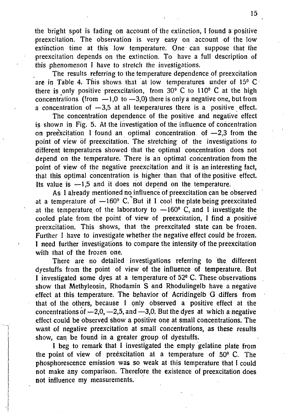the bright spot is fading on account of the extinction, I found a positive preexcitation. The observation is very easy on account of the low extinction time at this low temperature. One can suppose that the preexcitation depends on the extinction. To have a full description of this phenomenon I have to stretch the investigations.

The results referring to the temperature dependence of preexcitation are in Table 4. This shows that at low temperatures under of 15° C there is only positive preexcitation, from  $30^{\circ}$  C to  $110^{\circ}$  C at the high concentrations (from  $-1,0$  to  $-3,0$ ) there is only a negative one, but from a concentration of  $-3.5$  at all temperatures there is a positive effect.

The concentration dependence of the positive and negative effect is shown in Fig. 5. At the investigation of the influence of concentration on preexcitation I found an optimal concentration of  $-2.3$  from the point of view of preexcitation. The stretching of the investigations to different temperatures showed that the optimal concentration does not depend on the temperature. There is an optimal concentration from the point of view of the negative preexcitation and it is an interesting fact, that this optimal concentration is higher than that of the positive effect. Its value is  $-1.5$  and it does not depend on the temperature.

As 1 aheady mentioned no influence of preexcitation can be observed at a temperature of  $-160^{\circ}$  C. But if I cool the plate being preexcitated at the temperature of the laboratory to  $-160^{\circ}$  C, and I investigate the cooled plate from the point of view of preexcitation, I find a positive preexcitation. This shows, that the preexcitated state can be frozen. Further I have to investigate whether the negative effect could be frozen. I need further investigations to compare the intensity of the preexcitation with that of the frozen one.

There are no detailed investigations referring to the different dyestuffs from the point of view of the influence of temperature. But I investigated some dyes at a temperature of 52° C. These observations show that Methyleosin, Rhodamin S and Rhodulingelb have a negative effect at this temperature. The bphavior of Acridingelb G differs from that of the others, because I only observed a positive effect at the concentrations of  $-2,0, -2,5,$  and  $-3,0$ . But the dyes at which a negative effect could be observed show a positive one at small concentrations. The want of negative preexcitation at small concentrations, as these results show, can be found in a greater group of dyestuffs.

I beg to remark that I investigated the empty gelatine plate from the point of view of preexcitation at a temperature of 50° C. The phosphorescence emission was so weak at this temperature that I could not make any comparison. Therefore the existence of preexcitation does not influence my measurements.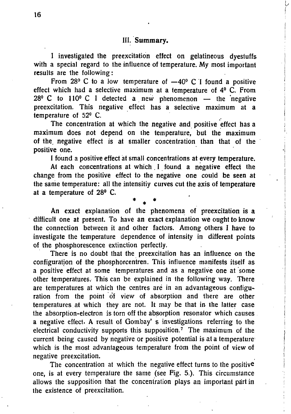I investigated the preexcitation effect on gelatineous dyestuffs with a special regard to the influence of temperature. My most important results are the following:

From 28 $\degree$  C to a low temperature of  $-40\degree$  C I found a positive effect which had a selective maximum at a temperature of 4° C. From  $28^{\circ}$  C to 110° C I detected a new phenomenon — the negative preexcitation. This negative effect has a selective maximum at a temperature of 52° C.

The concentration at which the negative and positive effect has a maximum does not depend on the temperature, but the maximum of the, negative effect is at smaller concentration than that of the positive one.

I found a positive effect at small concentrations at every temperature.

At each concentrations at which I found a negative effect the change from the positive effect to the negative one could be seen at the same temperature: all the intensitiy curves cut the axis of temperature at a temperature of 28° C.

\* \* \*

An exact explanation of the phenomena of preexcitation is a difficult one at present. To have an exact explanation we ought to know the connection between it and other factors. Among others I have to investigate the temperature dependence of intensity in different points of the phosphorescence extinction perfectly.

There is no doubt that the preexcitation has an influence on the configuration of the phosphorcentren. This influence manifests itself as a positive effect at some temperatures and as a negative one at some other temperatures. This can be explained in the following way. There are temperatures at which the centres aré in an advantageous configuration from the point of view of absorption and there are other temperatures at which they are not. It may be that in the latter case the absorption-electron is torn off the absorption resonator which causes a negative effect. A result of Gombay' s investigations referring to the electrical conductivity supports this supposition.<sup>7</sup> The maximum of the current being caused by negative or positive potential is ata temperature' which is the most advantageous temperature from the point of view of negative preexcitation.

The concentration at which the negative effect turns to the positive one, is at every temperature the same (see Fig. 5.). This circumstance allows the supposition that the concentration plays an important part in the existence of preexcitation.